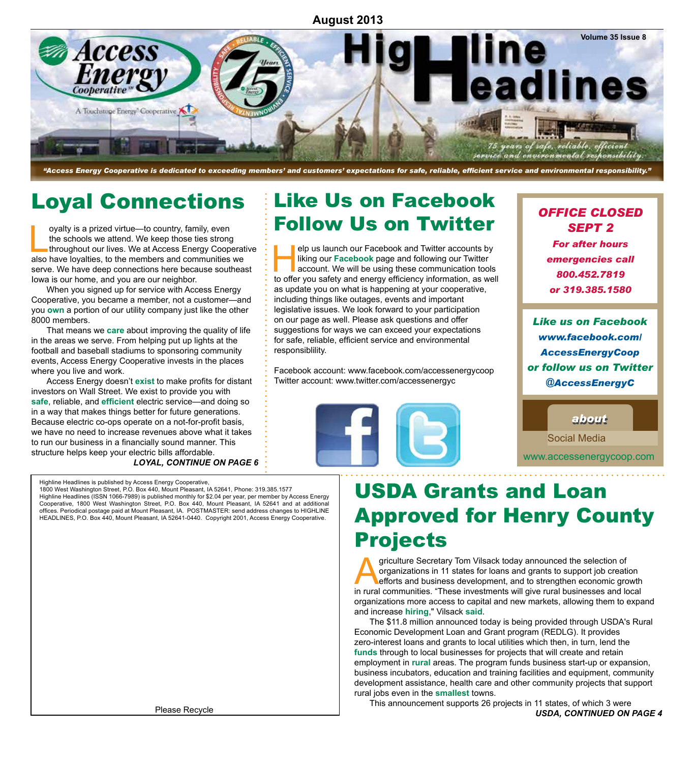### **August 2013**



*"Access Energy Cooperative is dedicated to exceeding members' and customers' expectations for safe, reliable, efficient service and environmental responsibility."*

## Loyal Connections

oyalty is a prized virtue—to country, family, even<br>the schools we attend. We keep those ties strong<br>throughout our lives. We at Access Energy Coop-<br>also have lovalties to the members and communities the schools we attend. We keep those ties strong throughout our lives. We at Access Energy Cooperative also have loyalties, to the members and communities we serve. We have deep connections here because southeast Iowa is our home, and you are our neighbor.

When you signed up for service with Access Energy Cooperative, you became a member, not a customer—and you **own** a portion of our utility company just like the other 8000 members.

That means we **care** about improving the quality of life in the areas we serve. From helping put up lights at the football and baseball stadiums to sponsoring community events, Access Energy Cooperative invests in the places where you live and work.

Access Energy doesn't **exist** to make profits for distant investors on Wall Street. We exist to provide you with **safe**, reliable, and **efficient** electric service—and doing so in a way that makes things better for future generations. Because electric co-ops operate on a not-for-profit basis, we have no need to increase revenues above what it takes to run our business in a financially sound manner. This structure helps keep your electric bills affordable.

*Loyal, continue on page 6* 

#### Highline Headlines is published by Access Energy Cooperative, 1800 West Washington Street, P.O. Box 440, Mount Pleasant, IA 52641, Phone: 319.385.1577

Highline Headlines (ISSN 1066-7989) is published monthly for \$2.04 per year, per member by Access Energy Cooperative, 1800 West Washington Street, P.O. Box 440, Mount Pleasant, IA 52641 and at additional offices. Periodical postage paid at Mount Pleasant, IA. POSTMASTER: send address changes to HIGHLINE HEADLINES, P.O. Box 440, Mount Pleasant, IA 52641-0440. Copyright 2001, Access Energy Cooperative.

# Like Us on Facebook Follow Us on Twitter

elp us launch our Facebook and Twitter accounts by<br>liking our Facebook page and following our Twitter<br>account. We will be using these communication tools<br>to offer you safety and energy efficiency information, as we liking our **Facebook** page and following our Twitter account. We will be using these communication tools to offer you safety and energy efficiency information, as well as update you on what is happening at your cooperative, including things like outages, events and important legislative issues. We look forward to your participation on our page as well. Please ask questions and offer suggestions for ways we can exceed your expectations for safe, reliable, efficient service and environmental responsiblility.

Facebook account: www.facebook.com/accessenergycoop Twitter account: www.twitter.com/accessenergyc



### *OFFICE CLOSED SEPT 2*

*For after hours emergencies call 800.452.7819 or 319.385.1580*

*Like us on Facebook www.facebook.com/ AccessEnergyCoop or follow us on Twitter @AccessEnergyC*

www.accessenergycoop.com *about about* Social Media

## USDA Grants and Loan Approved for Henry County Projects

griculture Secretary Tom Vilsack today announced the selection of organizations in 11 states for loans and grants to support job creation efforts and business development, and to strengthen economic growth in rural communities. "These investments will give rural businesses and local organizations more access to capital and new markets, allowing them to expand and increase **hiring**," Vilsack **said**.

The \$11.8 million announced today is being provided through USDA's Rural Economic Development Loan and Grant program (REDLG). It provides zero-interest loans and grants to local utilities which then, in turn, lend the **funds** through to local businesses for projects that will create and retain employment in **rural** areas. The program funds business start-up or expansion, business incubators, education and training facilities and equipment, community development assistance, health care and other community projects that support rural jobs even in the **smallest** towns.

This announcement supports 26 projects in 11 states, of which 3 were  *USDA, CONTINUED ON PAGE 4*

Please Recycle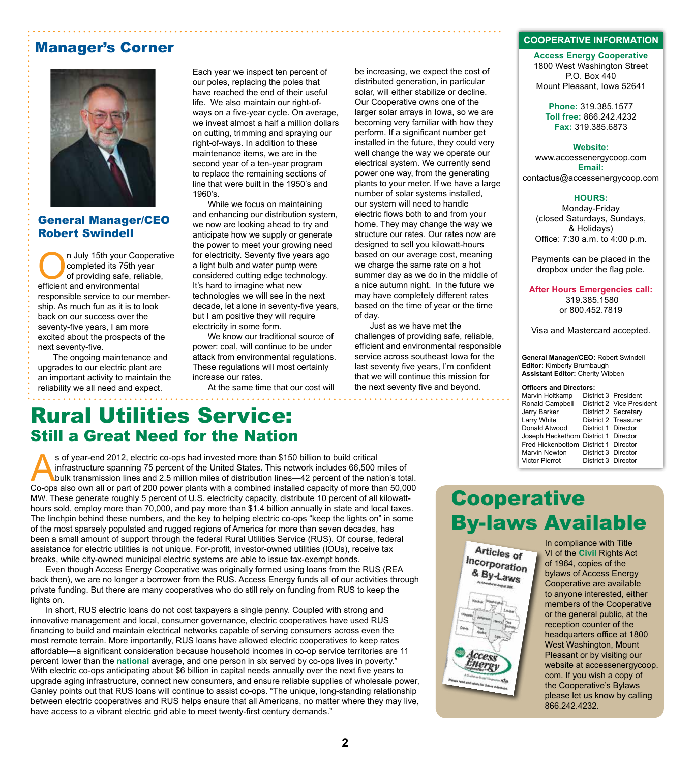### Manager's Corner



### General Manager/CEO Robert Swindell

n July 15th your Cooperative completed its 75th year of providing safe, reliable, efficient and environmental responsible service to our membership. As much fun as it is to look back on our success over the seventy-five years, I am more excited about the prospects of the next seventy-five.

The ongoing maintenance and upgrades to our electric plant are an important activity to maintain the reliability we all need and expect.

Each year we inspect ten percent of our poles, replacing the poles that have reached the end of their useful life. We also maintain our right-ofways on a five-year cycle. On average, we invest almost a half a million dollars on cutting, trimming and spraying our right-of-ways. In addition to these maintenance items, we are in the second year of a ten-year program to replace the remaining sections of line that were built in the 1950's and 1960's.

While we focus on maintaining and enhancing our distribution system, we now are looking ahead to try and anticipate how we supply or generate the power to meet your growing need for electricity. Seventy five years ago a light bulb and water pump were considered cutting edge technology. It's hard to imagine what new technologies we will see in the next decade, let alone in seventy-five years, but I am positive they will require electricity in some form.

We know our traditional source of power: coal, will continue to be under attack from environmental regulations. These regulations will most certainly increase our rates.

At the same time that our cost will

distributed generation, in particular solar, will either stabilize or decline. Our Cooperative owns one of the larger solar arrays in Iowa, so we are becoming very familiar with how they perform. If a significant number get installed in the future, they could very well change the way we operate our electrical system. We currently send power one way, from the generating plants to your meter. If we have a large number of solar systems installed, our system will need to handle electric flows both to and from your home. They may change the way we structure our rates. Our rates now are designed to sell you kilowatt-hours based on our average cost, meaning we charge the same rate on a hot summer day as we do in the middle of a nice autumn night. In the future we may have completely different rates based on the time of year or the time of day.

be increasing, we expect the cost of

Just as we have met the challenges of providing safe, reliable, efficient and environmental responsible service across southeast Iowa for the last seventy five years, I'm confident that we will continue this mission for the next seventy five and beyond.

#### **COOPERATIVE INFORMATION**

**Access Energy Cooperative** 1800 West Washington Street P.O. Box 440 Mount Pleasant, Iowa 52641

**Phone:** 319.385.1577 **Toll free:** 866.242.4232 **Fax:** 319.385.6873

#### **Website:**

www.accessenergycoop.com **Email:** contactus@accessenergycoop.com

#### **HOURS:**

Monday-Friday (closed Saturdays, Sundays, & Holidays) Office: 7:30 a.m. to 4:00 p.m.

Payments can be placed in the dropbox under the flag pole.

**After Hours Emergencies call:** 319.385.1580 or 800.452.7819

Visa and Mastercard accepted.

**General Manager/CEO:** Robert Swindell **Editor:** Kimberly Brumbaugh **Assistant Editor:** Cherity Wibben

#### **Officers and Directors:**

| Marvin Holtkamp                       |                     | District 3 President      |
|---------------------------------------|---------------------|---------------------------|
| Ronald Campbell                       |                     | District 2 Vice President |
| Jerry Barker                          |                     | District 2 Secretary      |
| Larry White                           |                     | District 2 Treasurer      |
| Donald Atwood                         | District 1 Director |                           |
| Joseph Heckethorn District 1 Director |                     |                           |
| Fred Hickenbottom District 1 Director |                     |                           |
| <b>Marvin Newton</b>                  | District 3 Director |                           |
| <b>Victor Pierrot</b>                 | District 3 Director |                           |
|                                       |                     |                           |

### Rural Utilities Service: Still a Great Need for the Nation

s of year-end 2012, electric co-ops had invested more than \$150 billion to build critical infrastructure spanning 75 percent of the United States. This network includes 66,500 miles of bulk transmission lines and 2.5 million miles of distribution lines—42 percent of the nation's total. Co-ops also own all or part of 200 power plants with a combined installed capacity of more than 50,000 MW. These generate roughly 5 percent of U.S. electricity capacity, distribute 10 percent of all kilowatthours sold, employ more than 70,000, and pay more than \$1.4 billion annually in state and local taxes. The linchpin behind these numbers, and the key to helping electric co-ops "keep the lights on" in some of the most sparsely populated and rugged regions of America for more than seven decades, has been a small amount of support through the federal Rural Utilities Service (RUS). Of course, federal assistance for electric utilities is not unique. For-profit, investor-owned utilities (IOUs), receive tax breaks, while city-owned municipal electric systems are able to issue tax-exempt bonds.

Even though Access Energy Cooperative was originally formed using loans from the RUS (REA back then), we are no longer a borrower from the RUS. Access Energy funds all of our activities through private funding. But there are many cooperatives who do still rely on funding from RUS to keep the lights on.

In short, RUS electric loans do not cost taxpayers a single penny. Coupled with strong and innovative management and local, consumer governance, electric cooperatives have used RUS financing to build and maintain electrical networks capable of serving consumers across even the most remote terrain. More importantly, RUS loans have allowed electric cooperatives to keep rates affordable―a significant consideration because household incomes in co-op service territories are 11 percent lower than the **national** average, and one person in six served by co-ops lives in poverty." With electric co-ops anticipating about \$6 billion in capital needs annually over the next five years to upgrade aging infrastructure, connect new consumers, and ensure reliable supplies of wholesale power, Ganley points out that RUS loans will continue to assist co-ops. "The unique, long-standing relationship between electric cooperatives and RUS helps ensure that all Americans, no matter where they may live, have access to a vibrant electric grid able to meet twenty-first century demands."

### **Cooperative** By-laws Available



In compliance with Title VI of the **Civil** Rights Act of 1964, copies of the bylaws of Access Energy Cooperative are available to anyone interested, either members of the Cooperative or the general public, at the reception counter of the headquarters office at 1800 West Washington, Mount Pleasant or by visiting our website at accessenergycoop. com. If you wish a copy of the Cooperative's Bylaws please let us know by calling 866.242.4232.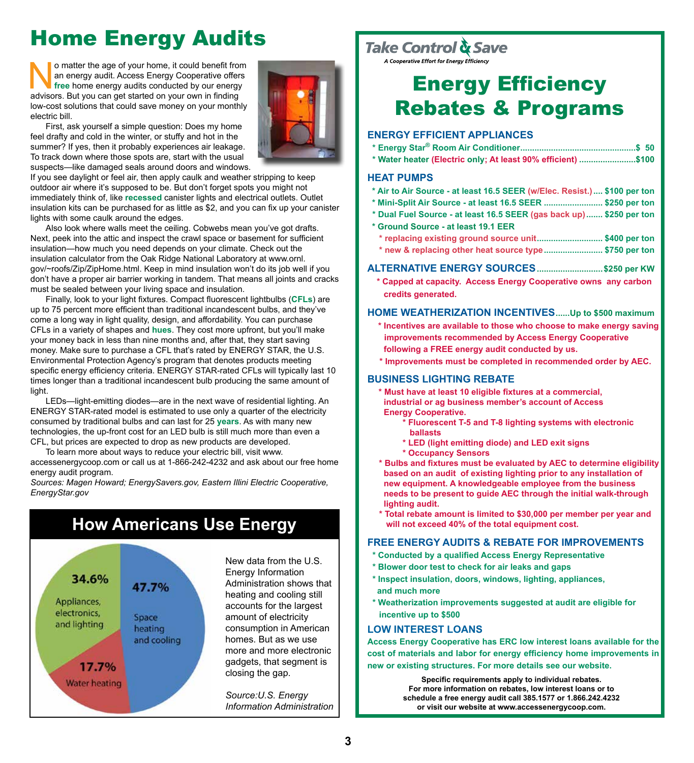## Home Energy Audits

o matter the age of your home, it could benefit from<br>an energy audit. Access Energy Cooperative offers<br>free home energy audits conducted by our energy<br>advisors. But you can get started on your own in finding an energy audit. Access Energy Cooperative offers **free** home energy audits conducted by our energy advisors. But you can get started on your own in finding low-cost solutions that could save money on your monthly electric bill.



First, ask yourself a simple question: Does my home feel drafty and cold in the winter, or stuffy and hot in the summer? If yes, then it probably experiences air leakage. To track down where those spots are, start with the usual suspects—like damaged seals around doors and windows.

If you see daylight or feel air, then apply caulk and weather stripping to keep outdoor air where it's supposed to be. But don't forget spots you might not immediately think of, like **recessed** canister lights and electrical outlets. Outlet insulation kits can be purchased for as little as \$2, and you can fix up your canister lights with some caulk around the edges.

Also look where walls meet the ceiling. Cobwebs mean you've got drafts. Next, peek into the attic and inspect the crawl space or basement for sufficient insulation—how much you need depends on your climate. Check out the insulation calculator from the Oak Ridge National Laboratory at www.ornl. gov/~roofs/Zip/ZipHome.html. Keep in mind insulation won't do its job well if you don't have a proper air barrier working in tandem. That means all joints and cracks must be sealed between your living space and insulation.

Finally, look to your light fixtures. Compact fluorescent lightbulbs (**CFLs**) are up to 75 percent more efficient than traditional incandescent bulbs, and they've come a long way in light quality, design, and affordability. You can purchase CFLs in a variety of shapes and **hues**. They cost more upfront, but you'll make your money back in less than nine months and, after that, they start saving money. Make sure to purchase a CFL that's rated by ENERGY STAR, the U.S. Environmental Protection Agency's program that denotes products meeting specific energy efficiency criteria. ENERGY STAR-rated CFLs will typically last 10 times longer than a traditional incandescent bulb producing the same amount of light.

LEDs—light-emitting diodes—are in the next wave of residential lighting. An ENERGY STAR-rated model is estimated to use only a quarter of the electricity consumed by traditional bulbs and can last for 25 **years**. As with many new technologies, the up-front cost for an LED bulb is still much more than even a CFL, but prices are expected to drop as new products are developed.

To learn more about ways to reduce your electric bill, visit www. accessenergycoop.com or call us at 1-866-242-4232 and ask about our free home energy audit program.

*Sources: Magen Howard; EnergySavers.gov, Eastern Illini Electric Cooperative, EnergyStar.gov*

### **How Americans Use Energy**



New data from the U.S. Energy Information Administration shows that heating and cooling still accounts for the largest amount of electricity consumption in American homes. But as we use more and more electronic gadgets, that segment is closing the gap.

*Source:U.S. Energy Information Administration*

## Take Control & Save

## Energy Efficiency Rebates & Programs

### **Energy EFFICIENT Appliances**

|  | * Water heater (Electric only; At least 90% efficient) \$100 |  |
|--|--------------------------------------------------------------|--|

#### **Heat Pumps**

- **\* Air to Air Source at least 16.5 SEER (w/Elec. Resist.).... \$100 per ton**
- **\* Mini-Split Air Source at least 16.5 SEER ......................... \$250 per ton**
- **\* Dual Fuel Source at least 16.5 SEER (gas back up)....... \$250 per ton**
- **\* Ground Source at least 19.1 EER**
	- **\* replacing existing ground source unit............................ \$400 per ton \* new & replacing other heat source type......................... \$750 per ton**
- 
- **Alternative Energy Sources............................\$250 per KW \* Capped at capacity. Access Energy Cooperative owns any carbon credits generated.**

#### **Home Weatherization Incentives......Up to \$500 maximum**

- **\* Incentives are available to those who choose to make energy saving improvements recommended by Access Energy Cooperative following a FREE energy audit conducted by us.**
- **\* Improvements must be completed in recommended order by AEC.**

### **business lighting rebate**

- **\* Must have at least 10 eligible fixtures at a commercial, industrial or ag business member's account of Access Energy Cooperative.**
	- **\* Fluorescent T-5 and T-8 lighting systems with electronic ballasts**
	- **\* LED (light emitting diode) and LED exit signs**
	- **\* Occupancy Sensors**
- **\* Bulbs and fixtures must be evaluated by AEC to determine eligibility based on an audit of existing lighting prior to any installation of new equipment. A knowledgeable employee from the business needs to be present to guide AEC through the initial walk-through lighting audit.**
- **\* Total rebate amount is limited to \$30,000 per member per year and will not exceed 40% of the total equipment cost.**

#### **FREE Energy Audits & rebate for improvements**

- **\* Conducted by a qualified Access Energy Representative**
- **\* Blower door test to check for air leaks and gaps**
- **\* Inspect insulation, doors, windows, lighting, appliances, and much more**
- **\* Weatherization improvements suggested at audit are eligible for incentive up to \$500**

### **LOW INTEREST LOANS**

**Access Energy Cooperative has ERC low interest loans available for the cost of materials and labor for energy efficiency home improvements in new or existing structures. For more details see our website.**

> **Specific requirements apply to individual rebates. For more information on rebates, low interest loans or to schedule a free energy audit call 385.1577 or 1.866.242.4232 or visit our website at www.accessenergycoop.com.**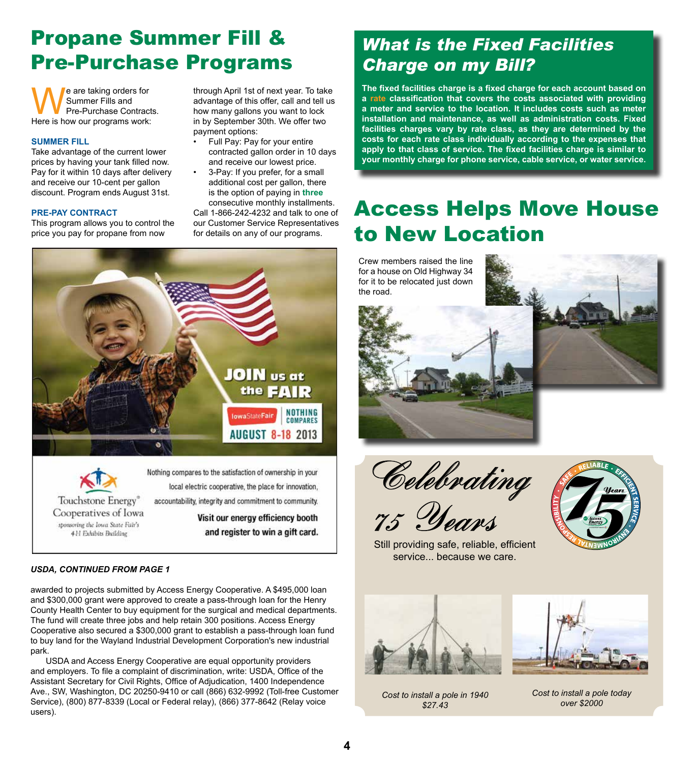## Propane Summer Fill & Pre-Purchase Programs

We are taking orders for<br>
We Summer Fills and<br>
Here is how our programs work: Summer Fills and Pre-Purchase Contracts.

#### **SUMMER FILL**

Take advantage of the current lower prices by having your tank filled now. Pay for it within 10 days after delivery and receive our 10-cent per gallon discount. Program ends August 31st.

#### **PRE-PAY CONTRACT**

This program allows you to control the price you pay for propane from now

through April 1st of next year. To take advantage of this offer, call and tell us how many gallons you want to lock in by September 30th. We offer two payment options:

- Full Pay: Pay for your entire contracted gallon order in 10 days and receive our lowest price.
- 3-Pay: If you prefer, for a small additional cost per gallon, there is the option of paying in **three** consecutive monthly installments.

Call 1-866-242-4232 and talk to one of our Customer Service Representatives for details on any of our programs.



Touchstone Energy® Cooperatives of Iowa sponsoring the lowa State Fair's 4H Exhibits Building

local electric cooperative, the place for innovation, accountability, integrity and commitment to community. Visit our energy efficiency booth

and register to win a gift card.

#### *USDA, CONTINUED FROM PAGE 1*

awarded to projects submitted by Access Energy Cooperative. A \$495,000 loan and \$300,000 grant were approved to create a pass-through loan for the Henry County Health Center to buy equipment for the surgical and medical departments. The fund will create three jobs and help retain 300 positions. Access Energy Cooperative also secured a \$300,000 grant to establish a pass-through loan fund to buy land for the Wayland Industrial Development Corporation's new industrial park.

USDA and Access Energy Cooperative are equal opportunity providers and employers. To file a complaint of discrimination, write: USDA, Office of the Assistant Secretary for Civil Rights, Office of Adjudication, 1400 Independence Ave., SW, Washington, DC 20250-9410 or call (866) 632-9992 (Toll-free Customer Service), (800) 877-8339 (Local or Federal relay), (866) 377-8642 (Relay voice users).

### *What is the Fixed Facilities Charge on my Bill?*

**The fixed facilities charge is a fixed charge for each account based on a rate classification that covers the costs associated with providing a meter and service to the location. It includes costs such as meter installation and maintenance, as well as administration costs. Fixed facilities charges vary by rate class, as they are determined by the costs for each rate class individually according to the expenses that apply to that class of service. The fixed facilities charge is similar to your monthly charge for phone service, cable service, or water service.**

## Access Helps Move House to New Location

Crew members raised the line for a house on Old Highway 34 for it to be relocated just down the road.





Celebrating 75 Years



Still providing safe, reliable, efficient service... because we care.



*Cost to install a pole in 1940 \$27.43*

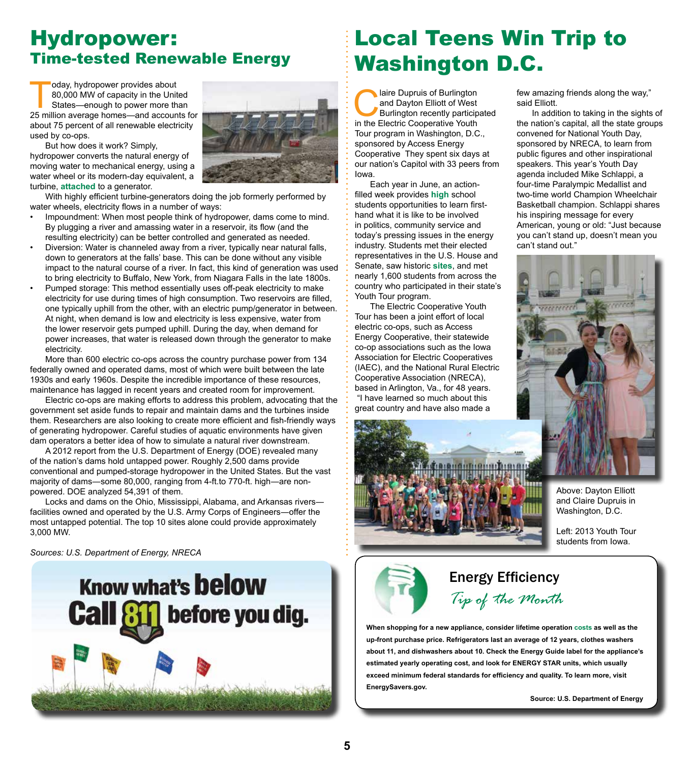### Hydropower: Time-tested Renewable Energy

Today, hydropower provides about<br>80,000 MW of capacity in the Unit<br>States—enough to power more th<br>25 million average homes—and account 80,000 MW of capacity in the United States—enough to power more than 25 million average homes—and accounts for about 75 percent of all renewable electricity used by co-ops.



But how does it work? Simply, hydropower converts the natural energy of moving water to mechanical energy, using a water wheel or its modern-day equivalent, a turbine, **attached** to a generator.

With highly efficient turbine-generators doing the job formerly performed by water wheels, electricity flows in a number of ways:

- Impoundment: When most people think of hydropower, dams come to mind. By plugging a river and amassing water in a reservoir, its flow (and the resulting electricity) can be better controlled and generated as needed.
- Diversion: Water is channeled away from a river, typically near natural falls, down to generators at the falls' base. This can be done without any visible impact to the natural course of a river. In fact, this kind of generation was used to bring electricity to Buffalo, New York, from Niagara Falls in the late 1800s.
- Pumped storage: This method essentially uses off-peak electricity to make electricity for use during times of high consumption. Two reservoirs are filled, one typically uphill from the other, with an electric pump/generator in between. At night, when demand is low and electricity is less expensive, water from the lower reservoir gets pumped uphill. During the day, when demand for power increases, that water is released down through the generator to make electricity.

More than 600 electric co-ops across the country purchase power from 134 federally owned and operated dams, most of which were built between the late 1930s and early 1960s. Despite the incredible importance of these resources, maintenance has lagged in recent years and created room for improvement.

Electric co-ops are making efforts to address this problem, advocating that the government set aside funds to repair and maintain dams and the turbines inside them. Researchers are also looking to create more efficient and fish-friendly ways of generating hydropower. Careful studies of aquatic environments have given dam operators a better idea of how to simulate a natural river downstream.

A 2012 report from the U.S. Department of Energy (DOE) revealed many of the nation's dams hold untapped power. Roughly 2,500 dams provide conventional and pumped-storage hydropower in the United States. But the vast majority of dams―some 80,000, ranging from 4-ft.to 770-ft. high―are nonpowered. DOE analyzed 54,391 of them.

Locks and dams on the Ohio, Mississippi, Alabama, and Arkansas rivers― facilities owned and operated by the U.S. Army Corps of Engineers―offer the most untapped potential. The top 10 sites alone could provide approximately 3,000 MW.

*Sources: U.S. Department of Energy, NRECA*



## Local Teens Win Trip to Washington D.C.

**Collaire Dupruis of Burlington<br>
and Dayton Elliott of West<br>
Burlington recently particip<br>
in the Flectric Cooperative Youth** and Dayton Elliott of West Burlington recently participated in the Electric Cooperative Youth Tour program in Washington, D.C., sponsored by Access Energy Cooperative They spent six days at our nation's Capitol with 33 peers from Iowa.

Each year in June, an actionfilled week provides **high** school students opportunities to learn firsthand what it is like to be involved in politics, community service and today's pressing issues in the energy industry. Students met their elected representatives in the U.S. House and Senate, saw historic **sites**, and met nearly 1,600 students from across the country who participated in their state's Youth Tour program.

The Electric Cooperative Youth Tour has been a joint effort of local electric co-ops, such as Access Energy Cooperative, their statewide co-op associations such as the Iowa Association for Electric Cooperatives (IAEC), and the National Rural Electric Cooperative Association (NRECA), based in Arlington, Va., for 48 years. "I have learned so much about this great country and have also made a



few amazing friends along the way," said Elliott.

In addition to taking in the sights of the nation's capital, all the state groups convened for National Youth Day, sponsored by NRECA, to learn from public figures and other inspirational speakers. This year's Youth Day agenda included Mike Schlappi, a four-time Paralympic Medallist and two-time world Champion Wheelchair Basketball champion. Schlappi shares his inspiring message for every American, young or old: "Just because you can't stand up, doesn't mean you can't stand out."



Above: Dayton Elliott and Claire Dupruis in Washington, D.C.

Left: 2013 Youth Tour students from Iowa.



### *Tip of the Month* Energy Efficiency

**When shopping for a new appliance, consider lifetime operation costs as well as the up-front purchase price. Refrigerators last an average of 12 years, clothes washers about 11, and dishwashers about 10. Check the Energy Guide label for the appliance's estimated yearly operating cost, and look for ENERGY STAR units, which usually exceed minimum federal standards for efficiency and quality. To learn more, visit EnergySavers.gov.** 

 **Source: U.S. Department of Energy**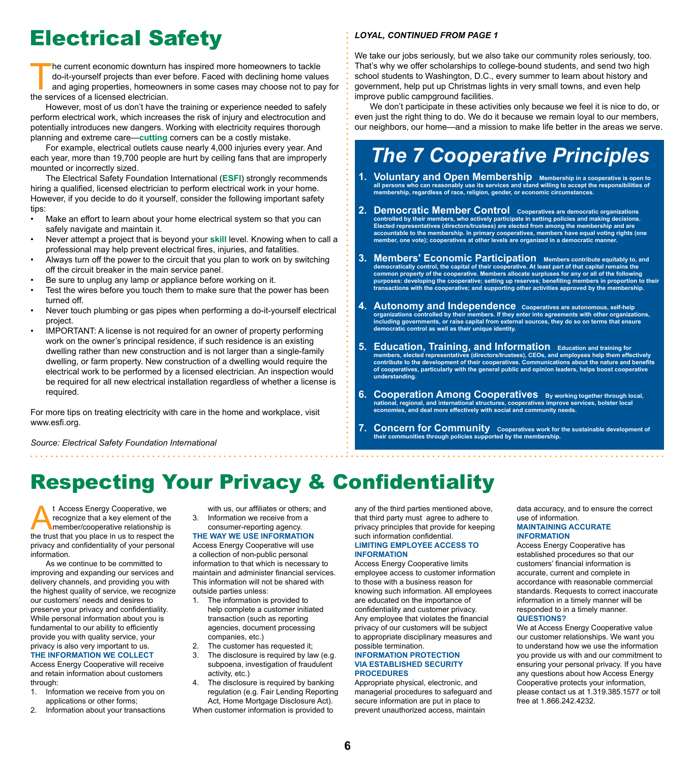## Electrical Safety

The current economic downturn has inspired more homeowners to tackle<br>do-it-yourself projects than ever before. Faced with declining home value<br>and aging properties, homeowners in some cases may choose not to pa<br>the service do-it-yourself projects than ever before. Faced with declining home values and aging properties, homeowners in some cases may choose not to pay for the services of a licensed electrician.

However, most of us don't have the training or experience needed to safely perform electrical work, which increases the risk of injury and electrocution and potentially introduces new dangers. Working with electricity requires thorough planning and extreme care—**cutting** corners can be a costly mistake.

For example, electrical outlets cause nearly 4,000 injuries every year. And each year, more than 19,700 people are hurt by ceiling fans that are improperly mounted or incorrectly sized.

The Electrical Safety Foundation International (**ESFI**) strongly recommends hiring a qualified, licensed electrician to perform electrical work in your home. However, if you decide to do it yourself, consider the following important safety tips:

- Make an effort to learn about your home electrical system so that you can safely navigate and maintain it.
- Never attempt a project that is beyond your **skill** level. Knowing when to call a professional may help prevent electrical fires, injuries, and fatalities.
- Always turn off the power to the circuit that you plan to work on by switching off the circuit breaker in the main service panel.
- Be sure to unplug any lamp or appliance before working on it.
- Test the wires before you touch them to make sure that the power has been turned off.
- Never touch plumbing or gas pipes when performing a do-it-yourself electrical project.
- IMPORTANT: A license is not required for an owner of property performing work on the owner's principal residence, if such residence is an existing dwelling rather than new construction and is not larger than a single-family dwelling, or farm property. New construction of a dwelling would require the electrical work to be performed by a licensed electrician. An inspection would be required for all new electrical installation regardless of whether a license is required.

For more tips on treating electricity with care in the home and workplace, visit www.esfi.org.

#### *Source: Electrical Safety Foundation International*

#### *Loyal, continued from page 1*

We take our jobs seriously, but we also take our community roles seriously, too. That's why we offer scholarships to college-bound students, and send two high school students to Washington, D.C., every summer to learn about history and government, help put up Christmas lights in very small towns, and even help improve public campground facilities.

We don't participate in these activities only because we feel it is nice to do, or even just the right thing to do. We do it because we remain loyal to our members, our neighbors, our home—and a mission to make life better in the areas we serve.

## *The 7 Cooperative Principles*

- **1. Voluntary and Open Membership** Membership in a cooperative is open to **all persons who can reasonably use its services and stand willing to accept the responsibilities of membership, regardless of race, religion, gender, or economic circumstances.**
- **2. Democratic Member Control Cooperatives are democratic organizations controlled by their members, who actively participate in setting policies and making decisions. Elected representatives (directors/trustees) are elected from among the membership and are accountable to the membership. In primary cooperatives, members have equal voting rights (one member, one vote); cooperatives at other levels are organized in a democratic manner.**
- 3. **Members' Economic Participation** Members contribute equitably to, and **democratically control, the capital of their cooperative. At least part of that capital remains the common property of the cooperative. Members allocate surpluses for any or all of the following purposes: developing the cooperative; setting up reserves; benefiting members in proportion to their transactions with the cooperative; and supporting other activities approved by the membership.**
- **4. Autonomy and Independence Cooperatives are autonomous, self-help organizations controlled by their members. If they enter into agreements with other organizations, including governments, or raise capital from external sources, they do so on terms that ensure democratic control as well as their unique identity.**
- **5. Education, Training, and Information Education and training for members, elected representatives (directors/trustees), CEOs, and employees help them effectively contribute to the development of their cooperatives. Communications about the nature and benefits of cooperatives, particularly with the general public and opinion leaders, helps boost cooperative understanding.**
- **6.** Cooperation Among Cooperatives By working together through local, national, regional, and international structures, cooperatives improve services, bolster local **economies, and deal more effectively with social and community needs.**
- **7. Concern for Community** Cooperatives work for the sustainable development of **their communities through policies supported by the membership.**

### Respecting Your Privacy & Confidentiality

t Access Energy Cooperative, we<br>recognize that a key element of the<br>member/cooperative relationship is<br>the trust that you place in us to respect the recognize that a key element of the member/cooperative relationship is the trust that you place in us to respect the privacy and confidentiality of your personal information.

As we continue to be committed to improving and expanding our services and delivery channels, and providing you with the highest quality of service, we recognize our customers' needs and desires to preserve your privacy and confidentiality. While personal information about you is fundamental to our ability to efficiently provide you with quality service, your privacy is also very important to us. **The Information We Collect**

Access Energy Cooperative will receive and retain information about customers through:

- 1. Information we receive from you on applications or other forms;
- 2. Information about your transactions

with us, our affiliates or others; and 3. Information we receive from a consumer-reporting agency.

**The Way We Use Information** Access Energy Cooperative will use a collection of non-public personal information to that which is necessary to maintain and administer financial services. This information will not be shared with outside parties unless:

- 1. The information is provided to help complete a customer initiated transaction (such as reporting agencies, document processing companies, etc.)
- The customer has requested it;
- 3. The disclosure is required by law (e.g. subpoena, investigation of fraudulent activity, etc.)
- 4. The disclosure is required by banking regulation (e.g. Fair Lending Reporting Act, Home Mortgage Disclosure Act).

When customer information is provided to

any of the third parties mentioned above, that third party must agree to adhere to privacy principles that provide for keeping such information confidential.

#### **Limiting Employee Access to Information**

Access Energy Cooperative limits employee access to customer information to those with a business reason for knowing such information. All employees are educated on the importance of confidentiality and customer privacy. Any employee that violates the financial privacy of our customers will be subject to appropriate disciplinary measures and possible termination.

#### **Information Protection Via Established Security Procedures**

Appropriate physical, electronic, and managerial procedures to safeguard and secure information are put in place to prevent unauthorized access, maintain

data accuracy, and to ensure the correct use of information.

#### **Maintaining Accurate Information**

Access Energy Cooperative has established procedures so that our customers' financial information is accurate, current and complete in accordance with reasonable commercial standards. Requests to correct inaccurate information in a timely manner will be responded to in a timely manner. **Questions?**

We at Access Energy Cooperative value our customer relationships. We want you to understand how we use the information you provide us with and our commitment to ensuring your personal privacy. If you have any questions about how Access Energy Cooperative protects your information, please contact us at 1.319.385.1577 or toll free at 1.866.242.4232.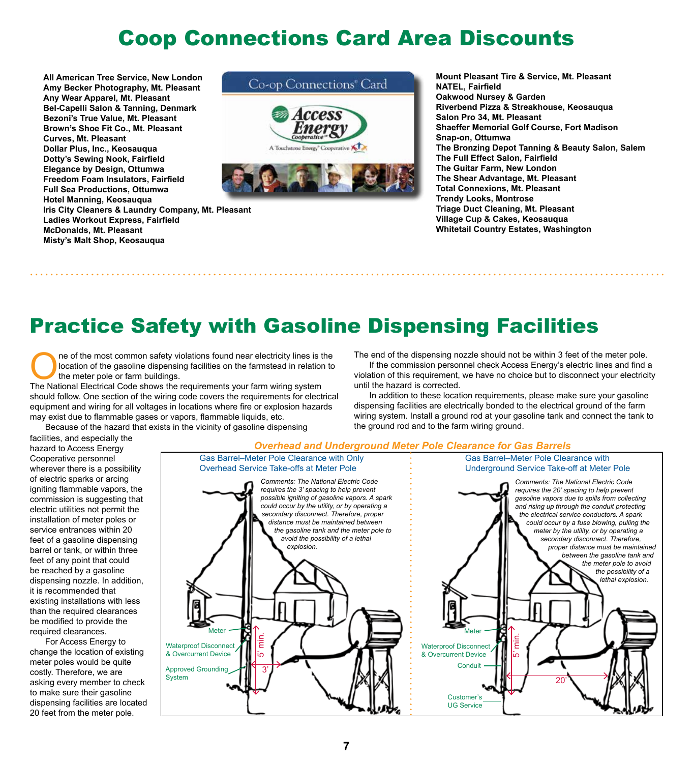### Coop Connections Card Area Discounts

**All American Tree Service, New London Amy Becker Photography, Mt. Pleasant Any Wear Apparel, Mt. Pleasant Bel-Capelli Salon & Tanning, Denmark Bezoni's True Value, Mt. Pleasant Brown's Shoe Fit Co., Mt. Pleasant Curves, Mt. Pleasant Dollar Plus, Inc., Keosauqua Dotty's Sewing Nook, Fairfield Elegance by Design, Ottumwa Freedom Foam Insulators, Fairfield Full Sea Productions, Ottumwa Hotel Manning, Keosauqua Iris City Cleaners & Laundry Company, Mt. Pleasant Ladies Workout Express, Fairfield McDonalds, Mt. Pleasant Misty's Malt Shop, Keosauqua**



**Mount Pleasant Tire & Service, Mt. Pleasant NATEL, Fairfield Oakwood Nursey & Garden Riverbend Pizza & Streakhouse, Keosauqua Salon Pro 34, Mt. Pleasant Shaeffer Memorial Golf Course, Fort Madison Snap-on, Ottumwa The Bronzing Depot Tanning & Beauty Salon, Salem The Full Effect Salon, Fairfield The Guitar Farm, New London The Shear Advantage, Mt. Pleasant Total Connexions, Mt. Pleasant Trendy Looks, Montrose Triage Duct Cleaning, Mt. Pleasant Village Cup & Cakes, Keosauqua Whitetail Country Estates, Washington**

## Practice Safety with Gasoline Dispensing Facilities

The Mational Electrical Code shows the requirements your farm wiring system<br>The National Electrical Code shows the requirements your farm wiring system location of the gasoline dispensing facilities on the farmstead in relation to the meter pole or farm buildings.

The National Electrical Code shows the requirements your farm wiring system should follow. One section of the wiring code covers the requirements for electrical equipment and wiring for all voltages in locations where fire or explosion hazards may exist due to flammable gases or vapors, flammable liquids, etc.

Because of the hazard that exists in the vicinity of gasoline dispensing

The end of the dispensing nozzle should not be within 3 feet of the meter pole. If the commission personnel check Access Energy's electric lines and find a

violation of this requirement, we have no choice but to disconnect your electricity until the hazard is corrected.

In addition to these location requirements, please make sure your gasoline dispensing facilities are electrically bonded to the electrical ground of the farm wiring system. Install a ground rod at your gasoline tank and connect the tank to the ground rod and to the farm wiring ground.

#### facilities, and especially the hazard to Access Energy Cooperative personnel wherever there is a possibility of electric sparks or arcing igniting flammable vapors, the commission is suggesting that electric utilities not permit the installation of meter poles or service entrances within 20 feet of a gasoline dispensing barrel or tank, or within three feet of any point that could be reached by a gasoline dispensing nozzle. In addition, it is recommended that existing installations with less than the required clearances be modified to provide the required clearances.

For Access Energy to change the location of existing meter poles would be quite costly. Therefore, we are asking every member to check to make sure their gasoline dispensing facilities are located 20 feet from the meter pole.